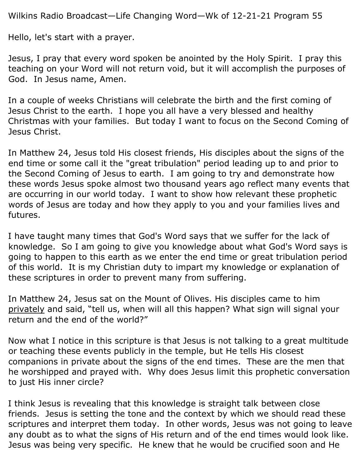Wilkins Radio Broadcast—Life Changing Word—Wk of 12-21-21 Program 55

Hello, let's start with a prayer.

Jesus, I pray that every word spoken be anointed by the Holy Spirit. I pray this teaching on your Word will not return void, but it will accomplish the purposes of God. In Jesus name, Amen.

In a couple of weeks Christians will celebrate the birth and the first coming of Jesus Christ to the earth. I hope you all have a very blessed and healthy Christmas with your families. But today I want to focus on the Second Coming of Jesus Christ.

In Matthew 24, Jesus told His closest friends, His disciples about the signs of the end time or some call it the "great tribulation" period leading up to and prior to the Second Coming of Jesus to earth. I am going to try and demonstrate how these words Jesus spoke almost two thousand years ago reflect many events that are occurring in our world today. I want to show how relevant these prophetic words of Jesus are today and how they apply to you and your families lives and futures.

I have taught many times that God's Word says that we suffer for the lack of knowledge. So I am going to give you knowledge about what God's Word says is going to happen to this earth as we enter the end time or great tribulation period of this world. It is my Christian duty to impart my knowledge or explanation of these scriptures in order to prevent many from suffering.

In Matthew 24, Jesus sat on the Mount of Olives. His disciples came to him privately and said, "tell us, when will all this happen? What sign will signal your return and the end of the world?"

Now what I notice in this scripture is that Jesus is not talking to a great multitude or teaching these events publicly in the temple, but He tells His closest companions in private about the signs of the end times. These are the men that he worshipped and prayed with. Why does Jesus limit this prophetic conversation to just His inner circle?

I think Jesus is revealing that this knowledge is straight talk between close friends. Jesus is setting the tone and the context by which we should read these scriptures and interpret them today. In other words, Jesus was not going to leave any doubt as to what the signs of His return and of the end times would look like. Jesus was being very specific. He knew that he would be crucified soon and He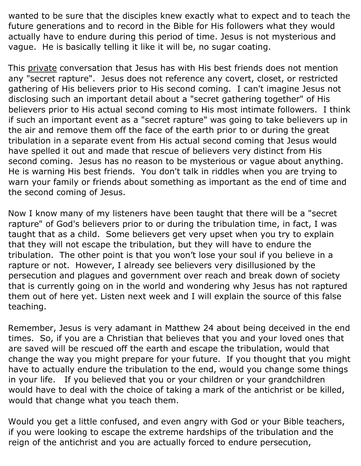wanted to be sure that the disciples knew exactly what to expect and to teach the future generations and to record in the Bible for His followers what they would actually have to endure during this period of time. Jesus is not mysterious and vague. He is basically telling it like it will be, no sugar coating.

This private conversation that Jesus has with His best friends does not mention any "secret rapture". Jesus does not reference any covert, closet, or restricted gathering of His believers prior to His second coming. I can't imagine Jesus not disclosing such an important detail about a "secret gathering together" of His believers prior to His actual second coming to His most intimate followers. I think if such an important event as a "secret rapture" was going to take believers up in the air and remove them off the face of the earth prior to or during the great tribulation in a separate event from His actual second coming that Jesus would have spelled it out and made that rescue of believers very distinct from His second coming. Jesus has no reason to be mysterious or vague about anything. He is warning His best friends. You don't talk in riddles when you are trying to warn your family or friends about something as important as the end of time and the second coming of Jesus.

Now I know many of my listeners have been taught that there will be a "secret rapture" of God's believers prior to or during the tribulation time, in fact, I was taught that as a child. Some believers get very upset when you try to explain that they will not escape the tribulation, but they will have to endure the tribulation. The other point is that you won't lose your soul if you believe in a rapture or not. However, I already see believers very disillusioned by the persecution and plagues and government over reach and break down of society that is currently going on in the world and wondering why Jesus has not raptured them out of here yet. Listen next week and I will explain the source of this false teaching.

Remember, Jesus is very adamant in Matthew 24 about being deceived in the end times. So, if you are a Christian that believes that you and your loved ones that are saved will be rescued off the earth and escape the tribulation, would that change the way you might prepare for your future. If you thought that you might have to actually endure the tribulation to the end, would you change some things in your life. If you believed that you or your children or your grandchildren would have to deal with the choice of taking a mark of the antichrist or be killed, would that change what you teach them.

Would you get a little confused, and even angry with God or your Bible teachers, if you were looking to escape the extreme hardships of the tribulation and the reign of the antichrist and you are actually forced to endure persecution,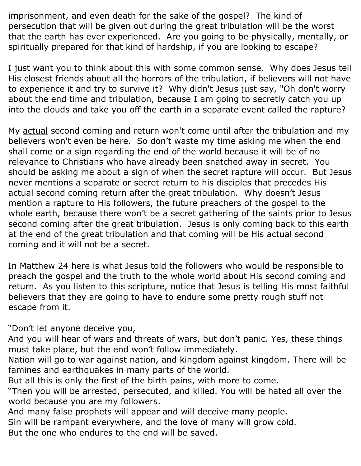imprisonment, and even death for the sake of the gospel? The kind of persecution that will be given out during the great tribulation will be the worst that the earth has ever experienced. Are you going to be physically, mentally, or spiritually prepared for that kind of hardship, if you are looking to escape?

I just want you to think about this with some common sense. Why does Jesus tell His closest friends about all the horrors of the tribulation, if believers will not have to experience it and try to survive it? Why didn't Jesus just say, "Oh don't worry about the end time and tribulation, because I am going to secretly catch you up into the clouds and take you off the earth in a separate event called the rapture?

My actual second coming and return won't come until after the tribulation and my believers won't even be here. So don't waste my time asking me when the end shall come or a sign regarding the end of the world because it will be of no relevance to Christians who have already been snatched away in secret. You should be asking me about a sign of when the secret rapture will occur. But Jesus never mentions a separate or secret return to his disciples that precedes His actual second coming return after the great tribulation. Why doesn't Jesus mention a rapture to His followers, the future preachers of the gospel to the whole earth, because there won't be a secret gathering of the saints prior to Jesus second coming after the great tribulation. Jesus is only coming back to this earth at the end of the great tribulation and that coming will be His actual second coming and it will not be a secret.

In Matthew 24 here is what Jesus told the followers who would be responsible to preach the gospel and the truth to the whole world about His second coming and return. As you listen to this scripture, notice that Jesus is telling His most faithful believers that they are going to have to endure some pretty rough stuff not escape from it.

"Don't let anyone deceive you,

And you will hear of wars and threats of wars, but don't panic. Yes, these things must take place, but the end won't follow immediately.

Nation will go to war against nation, and kingdom against kingdom. There will be famines and earthquakes in many parts of the world.

But all this is only the first of the birth pains, with more to come.

"Then you will be arrested, persecuted, and killed. You will be hated all over the world because you are my followers.

And many false prophets will appear and will deceive many people.

Sin will be rampant everywhere, and the love of many will grow cold.

But the one who endures to the end will be saved.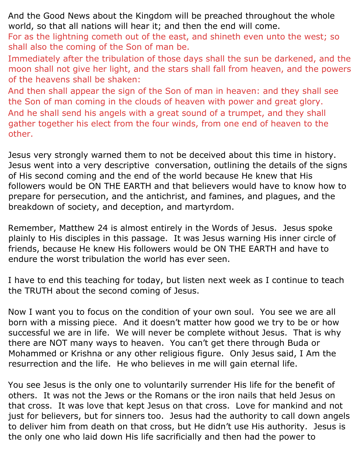And the Good News about the Kingdom will be preached throughout the whole world, so that all nations will hear it; and then the end will come.

For as the lightning cometh out of the east, and shineth even unto the west; so shall also the coming of the Son of man be.

Immediately after the tribulation of those days shall the sun be darkened, and the moon shall not give her light, and the stars shall fall from heaven, and the powers of the heavens shall be shaken:

And then shall appear the sign of the Son of man in heaven: and they shall see the Son of man coming in the clouds of heaven with power and great glory. And he shall send his angels with a great sound of a trumpet, and they shall gather together his elect from the four winds, from one end of heaven to the other.

Jesus very strongly warned them to not be deceived about this time in history. Jesus went into a very descriptive conversation, outlining the details of the signs of His second coming and the end of the world because He knew that His followers would be ON THE EARTH and that believers would have to know how to prepare for persecution, and the antichrist, and famines, and plagues, and the breakdown of society, and deception, and martyrdom.

Remember, Matthew 24 is almost entirely in the Words of Jesus. Jesus spoke plainly to His disciples in this passage. It was Jesus warning His inner circle of friends, because He knew His followers would be ON THE EARTH and have to endure the worst tribulation the world has ever seen.

I have to end this teaching for today, but listen next week as I continue to teach the TRUTH about the second coming of Jesus.

Now I want you to focus on the condition of your own soul. You see we are all born with a missing piece. And it doesn't matter how good we try to be or how successful we are in life. We will never be complete without Jesus. That is why there are NOT many ways to heaven. You can't get there through Buda or Mohammed or Krishna or any other religious figure. Only Jesus said, I Am the resurrection and the life. He who believes in me will gain eternal life.

You see Jesus is the only one to voluntarily surrender His life for the benefit of others. It was not the Jews or the Romans or the iron nails that held Jesus on that cross. It was love that kept Jesus on that cross. Love for mankind and not just for believers, but for sinners too. Jesus had the authority to call down angels to deliver him from death on that cross, but He didn't use His authority. Jesus is the only one who laid down His life sacrificially and then had the power to